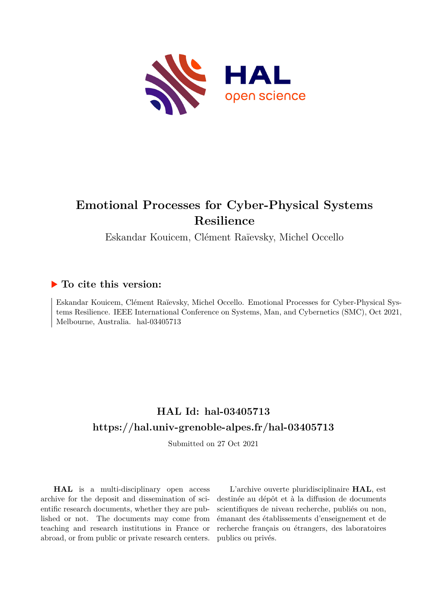

# **Emotional Processes for Cyber-Physical Systems Resilience**

Eskandar Kouicem, Clément Raïevsky, Michel Occello

# **To cite this version:**

Eskandar Kouicem, Clément Raïevsky, Michel Occello. Emotional Processes for Cyber-Physical Systems Resilience. IEEE International Conference on Systems, Man, and Cybernetics (SMC), Oct 2021, Melbourne, Australia. hal-03405713

# **HAL Id: hal-03405713 <https://hal.univ-grenoble-alpes.fr/hal-03405713>**

Submitted on 27 Oct 2021

**HAL** is a multi-disciplinary open access archive for the deposit and dissemination of scientific research documents, whether they are published or not. The documents may come from teaching and research institutions in France or abroad, or from public or private research centers.

L'archive ouverte pluridisciplinaire **HAL**, est destinée au dépôt et à la diffusion de documents scientifiques de niveau recherche, publiés ou non, émanant des établissements d'enseignement et de recherche français ou étrangers, des laboratoires publics ou privés.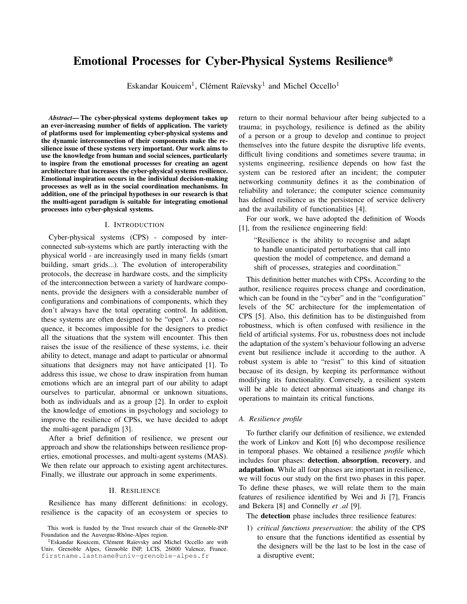# Emotional Processes for Cyber-Physical Systems Resilience\*

Eskandar Kouicem<sup>1</sup>, Clément Raïevsky<sup>1</sup> and Michel Occello<sup>1</sup>

*Abstract*— The cyber-physical systems deployment takes up an ever-increasing number of fields of application. The variety of platforms used for implementing cyber-physical systems and the dynamic interconnection of their components make the resilience issue of these systems very important. Our work aims to use the knowledge from human and social sciences, particularly to inspire from the emotional processes for creating an agent architecture that increases the cyber-physical systems resilience. Emotional inspiration occurs in the individual decision-making processes as well as in the social coordination mechanisms. In addition, one of the principal hypotheses in our research is that the multi-agent paradigm is suitable for integrating emotional processes into cyber-physical systems.

#### I. INTRODUCTION

Cyber-physical systems (CPS) - composed by interconnected sub-systems which are partly interacting with the physical world - are increasingly used in many fields (smart building, smart grids...). The evolution of interoperability protocols, the decrease in hardware costs, and the simplicity of the interconnection between a variety of hardware components, provide the designers with a considerable number of configurations and combinations of components, which they don't always have the total operating control. In addition, these systems are often designed to be "open". As a consequence, it becomes impossible for the designers to predict all the situations that the system will encounter. This then raises the issue of the resilience of these systems, i.e. their ability to detect, manage and adapt to particular or abnormal situations that designers may not have anticipated [1]. To address this issue, we chose to draw inspiration from human emotions which are an integral part of our ability to adapt ourselves to particular, abnormal or unknown situations, both as individuals and as a group [2]. In order to exploit the knowledge of emotions in psychology and sociology to improve the resilience of CPSs, we have decided to adopt the multi-agent paradigm [3].

After a brief definition of resilience, we present our approach and show the relationships between resilience properties, emotional processes, and multi-agent systems (MAS). We then relate our approach to existing agent architectures. Finally, we illustrate our approach in some experiments.

## II. RESILIENCE

Resilience has many different definitions: in ecology, resilience is the capacity of an ecosystem or species to return to their normal behaviour after being subjected to a trauma; in psychology, resilience is defined as the ability of a person or a group to develop and continue to project themselves into the future despite the disruptive life events, difficult living conditions and sometimes severe trauma; in systems engineering, resilience depends on how fast the system can be restored after an incident; the computer networking community defines it as the combination of reliability and tolerance; the computer science community has defined resilience as the persistence of service delivery and the availability of functionalities [4].

For our work, we have adopted the definition of Woods [1], from the resilience engineering field:

"Resilience is the ability to recognise and adapt to handle unanticipated perturbations that call into question the model of competence, and demand a shift of processes, strategies and coordination."

This definition better matches with CPSs. According to the author, resilience requires process change and coordination, which can be found in the "cyber" and in the "configuration" levels of the 5C architecture for the implementation of CPS [5]. Also, this definition has to be distinguished from robustness, which is often confused with resilience in the field of artificial systems. For us, robustness does not include the adaptation of the system's behaviour following an adverse event but resilience include it according to the author. A robust system is able to "resist" to this kind of situation because of its design, by keeping its performance without modifying its functionality. Conversely, a resilient system will be able to detect abnormal situations and change its operations to maintain its critical functions.

### *A. Resilience profile*

To further clarify our definition of resilience, we extended the work of Linkov and Kott [6] who decompose resilience in temporal phases. We obtained a resilience *profile* which includes four phases: detection, absorption, recovery, and adaptation. While all four phases are important in resilience, we will focus our study on the first two phases in this paper. To define these phases, we will relate them to the main features of resilience identified by Wei and Ji [7], Francis and Bekera [8] and Connelly *et .al* [9].

The detection phase includes three resilience features:

1) *critical functions preservation*: the ability of the CPS to ensure that the functions identified as essential by the designers will be the last to be lost in the case of a disruptive event;

This work is funded by the Trust research chair of the Grenoble-INP Foundation and the Auvergne-Rhône-Alpes region.

<sup>&</sup>lt;sup>1</sup>Eskandar Kouicem, Clément Raïevsky and Michel Occello are with Univ. Grenoble Alpes, Grenoble INP, LCIS, 26000 Valence, France. firstname.lastname@univ-grenoble-alpes.fr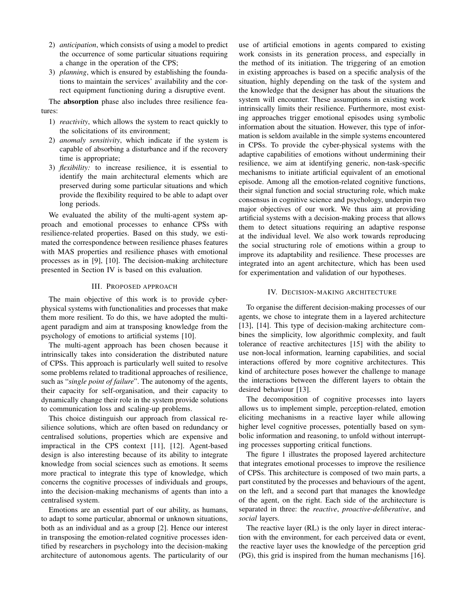- 2) *anticipation*, which consists of using a model to predict the occurrence of some particular situations requiring a change in the operation of the CPS;
- 3) *planning*, which is ensured by establishing the foundations to maintain the services' availability and the correct equipment functioning during a disruptive event.

The absorption phase also includes three resilience features:

- 1) *reactivity*, which allows the system to react quickly to the solicitations of its environment;
- 2) *anomaly sensitivity*, which indicate if the system is capable of absorbing a disturbance and if the recovery time is appropriate;
- 3) *flexibility:* to increase resilience, it is essential to identify the main architectural elements which are preserved during some particular situations and which provide the flexibility required to be able to adapt over long periods.

We evaluated the ability of the multi-agent system approach and emotional processes to enhance CPSs with resilience-related properties. Based on this study, we estimated the correspondence between resilience phases features with MAS properties and resilience phases with emotional processes as in [9], [10]. The decision-making architecture presented in Section IV is based on this evaluation.

### III. PROPOSED APPROACH

The main objective of this work is to provide cyberphysical systems with functionalities and processes that make them more resilient. To do this, we have adopted the multiagent paradigm and aim at transposing knowledge from the psychology of emotions to artificial systems [10].

The multi-agent approach has been chosen because it intrinsically takes into consideration the distributed nature of CPSs. This approach is particularly well suited to resolve some problems related to traditional approaches of resilience, such as "*single point of failure*". The autonomy of the agents, their capacity for self-organisation, and their capacity to dynamically change their role in the system provide solutions to communication loss and scaling-up problems.

This choice distinguish our approach from classical resilience solutions, which are often based on redundancy or centralised solutions, properties which are expensive and impractical in the CPS context [11], [12]. Agent-based design is also interesting because of its ability to integrate knowledge from social sciences such as emotions. It seems more practical to integrate this type of knowledge, which concerns the cognitive processes of individuals and groups, into the decision-making mechanisms of agents than into a centralised system.

Emotions are an essential part of our ability, as humans, to adapt to some particular, abnormal or unknown situations, both as an individual and as a group [2]. Hence our interest in transposing the emotion-related cognitive processes identified by researchers in psychology into the decision-making architecture of autonomous agents. The particularity of our

use of artificial emotions in agents compared to existing work consists in its generation process, and especially in the method of its initiation. The triggering of an emotion in existing approaches is based on a specific analysis of the situation, highly depending on the task of the system and the knowledge that the designer has about the situations the system will encounter. These assumptions in existing work intrinsically limits their resilience. Furthermore, most existing approaches trigger emotional episodes using symbolic information about the situation. However, this type of information is seldom available in the simple systems encountered in CPSs. To provide the cyber-physical systems with the adaptive capabilities of emotions without undermining their resilience, we aim at identifying generic, non-task-specific mechanisms to initiate artificial equivalent of an emotional episode. Among all the emotion-related cognitive functions, their signal function and social structuring role, which make consensus in cognitive science and psychology, underpin two major objectives of our work. We thus aim at providing artificial systems with a decision-making process that allows them to detect situations requiring an adaptive response at the individual level. We also work towards reproducing the social structuring role of emotions within a group to improve its adaptability and resilience. These processes are integrated into an agent architecture, which has been used for experimentation and validation of our hypotheses.

#### IV. DECISION-MAKING ARCHITECTURE

To organise the different decision-making processes of our agents, we chose to integrate them in a layered architecture [13], [14]. This type of decision-making architecture combines the simplicity, low algorithmic complexity, and fault tolerance of reactive architectures [15] with the ability to use non-local information, learning capabilities, and social interactions offered by more cognitive architectures. This kind of architecture poses however the challenge to manage the interactions between the different layers to obtain the desired behaviour [13].

The decomposition of cognitive processes into layers allows us to implement simple, perception-related, emotion eliciting mechanisms in a reactive layer while allowing higher level cognitive processes, potentially based on symbolic information and reasoning, to unfold without interrupting processes supporting critical functions.

The figure 1 illustrates the proposed layered architecture that integrates emotional processes to improve the resilience of CPSs. This architecture is composed of two main parts, a part constituted by the processes and behaviours of the agent, on the left, and a second part that manages the knowledge of the agent, on the right. Each side of the architecture is separated in three: the *reactive*, *proactive-deliberative*, and *social* layers.

The reactive layer (RL) is the only layer in direct interaction with the environment, for each perceived data or event, the reactive layer uses the knowledge of the perception grid (PG), this grid is inspired from the human mechanisms [16].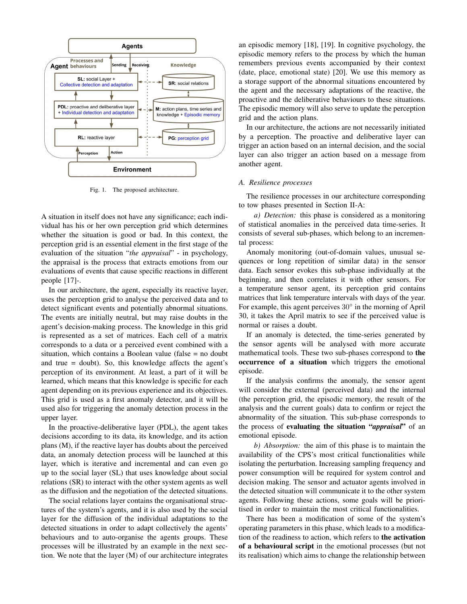

Fig. 1. The proposed architecture.

A situation in itself does not have any significance; each individual has his or her own perception grid which determines whether the situation is good or bad. In this context, the perception grid is an essential element in the first stage of the evaluation of the situation "*the appraisal*" - in psychology, the appraisal is the process that extracts emotions from our evaluations of events that cause specific reactions in different people [17]-.

In our architecture, the agent, especially its reactive layer, uses the perception grid to analyse the perceived data and to detect significant events and potentially abnormal situations. The events are initially neutral, but may raise doubts in the agent's decision-making process. The knowledge in this grid is represented as a set of matrices. Each cell of a matrix corresponds to a data or a perceived event combined with a situation, which contains a Boolean value (false = no doubt and true = doubt). So, this knowledge affects the agent's perception of its environment. At least, a part of it will be learned, which means that this knowledge is specific for each agent depending on its previous experience and its objectives. This grid is used as a first anomaly detector, and it will be used also for triggering the anomaly detection process in the upper layer.

In the proactive-deliberative layer (PDL), the agent takes decisions according to its data, its knowledge, and its action plans (M), if the reactive layer has doubts about the perceived data, an anomaly detection process will be launched at this layer, which is iterative and incremental and can even go up to the social layer (SL) that uses knowledge about social relations (SR) to interact with the other system agents as well as the diffusion and the negotiation of the detected situations.

The social relations layer contains the organisational structures of the system's agents, and it is also used by the social layer for the diffusion of the individual adaptations to the detected situations in order to adapt collectively the agents' behaviours and to auto-organise the agents groups. These processes will be illustrated by an example in the next section. We note that the layer (M) of our architecture integrates

an episodic memory [18], [19]. In cognitive psychology, the episodic memory refers to the process by which the human remembers previous events accompanied by their context (date, place, emotional state) [20]. We use this memory as a storage support of the abnormal situations encountered by the agent and the necessary adaptations of the reactive, the proactive and the deliberative behaviours to these situations. The episodic memory will also serve to update the perception grid and the action plans.

In our architecture, the actions are not necessarily initiated by a perception. The proactive and deliberative layer can trigger an action based on an internal decision, and the social layer can also trigger an action based on a message from another agent.

#### *A. Resilience processes*

The resilience processes in our architecture corresponding to tow phases presented in Section II-A:

*a) Detection:* this phase is considered as a monitoring of statistical anomalies in the perceived data time-series. It consists of several sub-phases, which belong to an incremental process:

Anomaly monitoring (out-of-domain values, unusual sequences or long repetition of similar data) in the sensor data. Each sensor evokes this sub-phase individually at the beginning, and then correlates it with other sensors. For a temperature sensor agent, its perception grid contains matrices that link temperature intervals with days of the year. For example, this agent perceives  $30^{\circ}$  in the morning of April 30, it takes the April matrix to see if the perceived value is normal or raises a doubt.

If an anomaly is detected, the time-series generated by the sensor agents will be analysed with more accurate mathematical tools. These two sub-phases correspond to the occurrence of a situation which triggers the emotional episode.

If the analysis confirms the anomaly, the sensor agent will consider the external (perceived data) and the internal (the perception grid, the episodic memory, the result of the analysis and the current goals) data to confirm or reject the abnormality of the situation. This sub-phase corresponds to the process of evaluating the situation "*appraisal*" of an emotional episode.

*b) Absorption:* the aim of this phase is to maintain the availability of the CPS's most critical functionalities while isolating the perturbation. Increasing sampling frequency and power consumption will be required for system control and decision making. The sensor and actuator agents involved in the detected situation will communicate it to the other system agents. Following these actions, some goals will be prioritised in order to maintain the most critical functionalities.

There has been a modification of some of the system's operating parameters in this phase, which leads to a modification of the readiness to action, which refers to the activation of a behavioural script in the emotional processes (but not its realisation) which aims to change the relationship between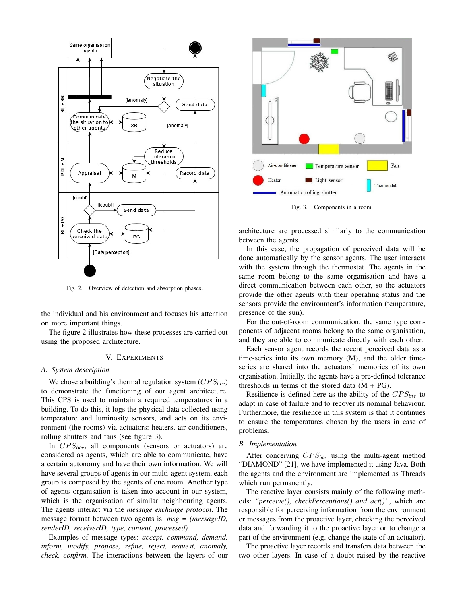

Fig. 2. Overview of detection and absorption phases.

the individual and his environment and focuses his attention on more important things.

The figure 2 illustrates how these processes are carried out using the proposed architecture.

## V. EXPERIMENTS

#### *A. System description*

We chose a building's thermal regulation system  $(CPS_{btr})$ to demonstrate the functioning of our agent architecture. This CPS is used to maintain a required temperatures in a building. To do this, it logs the physical data collected using temperature and luminosity sensors, and acts on its environment (the rooms) via actuators: heaters, air conditioners, rolling shutters and fans (see figure 3).

In  $CPS_{btr}$ , all components (sensors or actuators) are considered as agents, which are able to communicate, have a certain autonomy and have their own information. We will have several groups of agents in our multi-agent system, each group is composed by the agents of one room. Another type of agents organisation is taken into account in our system, which is the organisation of similar neighbouring agents. The agents interact via the *message exchange protocol*. The message format between two agents is: *msg = (messageID, senderID, receiverID, type, content, processed).*

Examples of message types: *accept, command, demand, inform, modify, propose, refine, reject, request, anomaly, check, confirm.* The interactions between the layers of our



Fig. 3. Components in a room.

architecture are processed similarly to the communication between the agents.

In this case, the propagation of perceived data will be done automatically by the sensor agents. The user interacts with the system through the thermostat. The agents in the same room belong to the same organisation and have a direct communication between each other, so the actuators provide the other agents with their operating status and the sensors provide the environment's information (temperature, presence of the sun).

For the out-of-room communication, the same type components of adjacent rooms belong to the same organisation, and they are able to communicate directly with each other.

Each sensor agent records the recent perceived data as a time-series into its own memory (M), and the older timeseries are shared into the actuators' memories of its own organisation. Initially, the agents have a pre-defined tolerance thresholds in terms of the stored data  $(M + PG)$ .

Resilience is defined here as the ability of the  $CPS_{btr}$  to adapt in case of failure and to recover its nominal behaviour. Furthermore, the resilience in this system is that it continues to ensure the temperatures chosen by the users in case of problems.

#### *B. Implementation*

After conceiving  $CPS_{btr}$  using the multi-agent method "DIAMOND" [21], we have implemented it using Java. Both the agents and the environment are implemented as Threads which run permanently.

The reactive layer consists mainly of the following methods: *"perceive(), checkPerceptions() and act()"*, which are responsible for perceiving information from the environment or messages from the proactive layer, checking the perceived data and forwarding it to the proactive layer or to change a part of the environment (e.g. change the state of an actuator).

The proactive layer records and transfers data between the two other layers. In case of a doubt raised by the reactive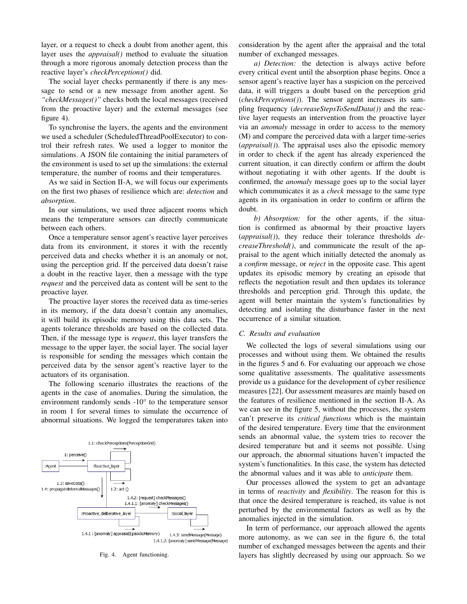layer, or a request to check a doubt from another agent, this layer uses the *appraisal()* method to evaluate the situation through a more rigorous anomaly detection process than the reactive layer's *checkPerceptions()* did.

The social layer checks permanently if there is any message to send or a new message from another agent. So *"checkMessages()"* checks both the local messages (received from the proactive layer) and the external messages (see figure 4).

To synchronise the layers, the agents and the environment we used a scheduler (ScheduledThreadPoolExecutor) to control their refresh rates. We used a logger to monitor the simulations. A JSON file containing the initial parameters of the environment is used to set up the simulations: the external temperature, the number of rooms and their temperatures.

As we said in Section II-A, we will focus our experiments on the first two phases of resilience which are: *detection* and *absorption*.

In our simulations, we used three adjacent rooms which means the temperature sensors can directly communicate between each others.

Once a temperature sensor agent's reactive layer perceives data from its environment, it stores it with the recently perceived data and checks whether it is an anomaly or not, using the perception grid. If the perceived data doesn't raise a doubt in the reactive layer, then a message with the type *request* and the perceived data as content will be sent to the proactive layer.

The proactive layer stores the received data as time-series in its memory, if the data doesn't contain any anomalies, it will build its episodic memory using this data sets. The agents tolerance thresholds are based on the collected data. Then, if the message type is *request*, this layer transfers the message to the upper layer, the social layer. The social layer is responsible for sending the messages which contain the perceived data by the sensor agent's reactive layer to the actuators of its organisation.

The following scenario illustrates the reactions of the agents in the case of anomalies. During the simulation, the environment randomly sends -10° to the temperature sensor in room 1 for several times to simulate the occurrence of abnormal situations. We logged the temperatures taken into



Fig. 4. Agent functioning.

consideration by the agent after the appraisal and the total number of exchanged messages.

*a) Detection:* the detection is always active before every critical event until the absorption phase begins. Once a sensor agent's reactive layer has a suspicion on the perceived data, it will triggers a doubt based on the perception grid (*checkPerceptions()*). The sensor agent increases its sampling frequency (*decreaseStepsToSendData()*) and the reactive layer requests an intervention from the proactive layer via an *anomaly* message in order to access to the memory (M) and compare the perceived data with a larger time-series (*appraisal()*). The appraisal uses also the episodic memory in order to check if the agent has already experienced the current situation, it can directly confirm or affirm the doubt without negotiating it with other agents. If the doubt is confirmed, the *anomaly* message goes up to the social layer which communicates it as a *check* message to the same type agents in its organisation in order to confirm or affirm the doubt.

*b) Absorption:* for the other agents, if the situation is confirmed as abnormal by their proactive layers (*appraisal()*), they reduce their tolerance thresholds *decreaseThreshold()*, and communicate the result of the appraisal to the agent which initially detected the anomaly as a *confirm* message, or *reject* in the opposite case. This agent updates its episodic memory by creating an episode that reflects the negotiation result and then updates its tolerance thresholds and perception grid. Through this update, the agent will better maintain the system's functionalities by detecting and isolating the disturbance faster in the next occurrence of a similar situation.

#### *C. Results and evaluation*

We collected the logs of several simulations using our processes and without using them. We obtained the results in the figures 5 and 6. For evaluating our approach we chose some qualitative assessments. The qualitative assessments provide us a guidance for the development of cyber resilience measures [22]. Our assessment measures are mainly based on the features of resilience mentioned in the section II-A. As we can see in the figure 5, without the processes, the system can't preserve its *critical functions* which is the maintain of the desired temperature. Every time that the environment sends an abnormal value, the system tries to recover the desired temperature but and it seems not possible. Using our approach, the abnormal situations haven't impacted the system's functionalities. In this case, the system has detected the abnormal values and it was able to *anticipate* them.

Our processes allowed the system to get an advantage in terms of *reactivity* and *flexibility*. The reason for this is that once the desired temperature is reached, its value is not perturbed by the environmental factors as well as by the anomalies injected in the simulation.

In term of performance, our approach allowed the agents more autonomy, as we can see in the figure 6, the total number of exchanged messages between the agents and their layers has slightly decreased by using our approach. So we